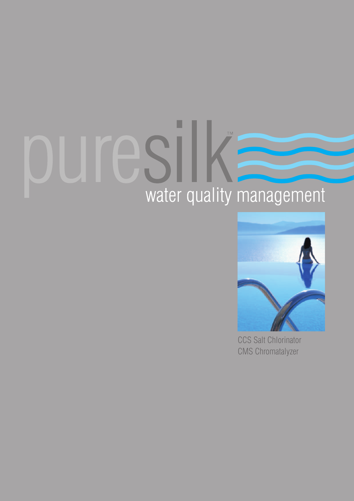# water quality management



CCS Salt Chlorinator CMS Chromatalyzer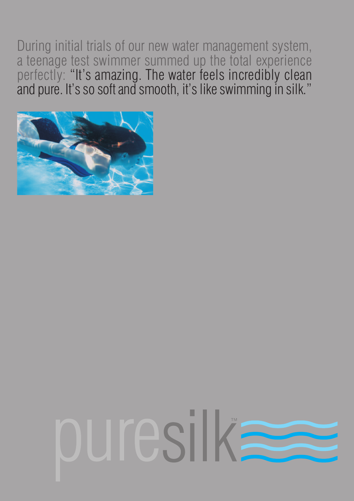During initial trials of our new water management system, a teenage test swimmer summed up the total experience perfectly: "It's amazing. The water feels incredibly clean and pure. It's so soft and smooth, it's like swimming in silk."



# ouresilka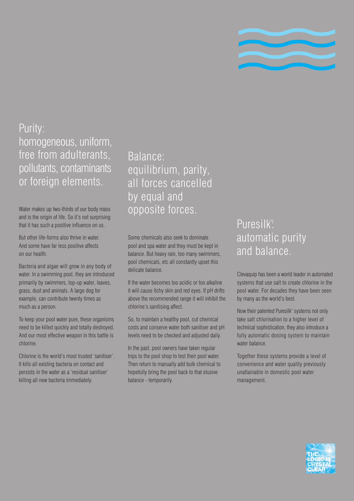

# Purity: homogeneous, uniform, free from adulterants, pollutants, contaminants or foreign elements.

Water makes up two-thirds of our body mass and is the origin of life. So it's not surprising that it has such a positive influence on us.

But other life-forms also thrive in water. And some have far less positive affects on our health.

Bacteria and algae will grow in any body of water. In a swimming pool, they are introduced primarily by swimmers, top-up water, leaves, grass, dust and animals. A large dog for example, can contribute twenty times as much as a person.

To keep your pool water pure, these organisms need to be killed quickly and totally destroyed. And our most effective weapon in this battle is chlorine.

Chlorine is the world's most trusted 'sanitiser'. It kills all existing bacteria on contact and persists in the water as a 'residual sanitiser' killing all new bacteria immediately.

Balance: equilibrium, parity, all forces cancelled by equal and opposite forces.

Some chemicals also seek to dominate pool and spa water and they must be kept in balance. But heavy rain, too many swimmers, pool chemicals, etc all constantly upset this delicate balance.

If the water becomes too acidic or too alkaline it will cause itchy skin and red eyes. If pH drifts above the recommended range it will inhibit the chlorine's sanitising affect.

So, to maintain a healthy pool, cut chemical costs and conserve water both sanitiser and pH levels need to be checked and adjusted daily.

In the past, pool owners have taken regular trips to the pool shop to test their pool water. Then return to manually add bulk chemical to hopefully bring the pool back to that elusive balance - temporarily.

# Puresilk<sup>™</sup>: automatic purity and balance.

Clevaquip has been a world leader in automated systems that use salt to create chlorine in the pool water. For decades they have been seen by many as the world's best.

Now their patented Puresilk™ systems not only take salt chlorination to a higher level of technical sophistication, they also introduce a fully automatic dosing system to maintain water balance.

Together these systems provide a level of convenience and water quality previously unattainable in domestic pool water management.

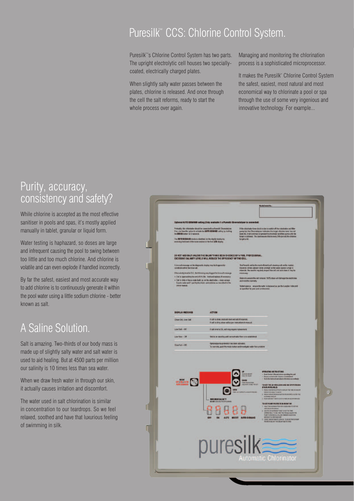# Puresilk™ CCS: Chlorine Control System.

Puresilk™'s Chlorine Control System has two parts. The upright electrolytic cell houses two speciallycoated, electrically charged plates.

When slightly salty water passes between the plates, chlorine is released. And once through the cell the salt reforms, ready to start the whole process over again.

Managing and monitoring the chlorination process is a sophisticated microprocessor.

It makes the Puresilk™ Chlorine Control System the safest, easiest, most natural and most economical way to chlorinate a pool or spa through the use of some very ingenious and innovative technology. For example...

# Purity, accuracy, consistency and safety?

While chlorine is accepted as the most effective sanitiser in pools and spas, it's mostly applied manually in tablet, granular or liquid form.

Water testing is haphazard, so doses are large and infrequent causing the pool to swing between too little and too much chlorine. And chlorine is volatile and can even explode if handled incorrectly.

By far the safest, easiest and most accurate way to add chlorine is to continuously generate it within the pool water using a little sodium chlorine - better known as salt.

# A Saline Solution.

Salt is amazing. Two-thirds of our body mass is made up of slightly salty water and salt water is used to aid healing. But at 4500 parts per million our salinity is 10 times less than sea water.

When we draw fresh water in through our skin, it actually causes irritation and discomfort.

The water used in salt chlorination is similar in concentration to our teardrops. So we feel relaxed, soothed and have that luxurious feeling of swimming in silk.

|                                                                                                                                                            |                                                                                                                                                          |                                                                                                                                                                | Model: Seelal No.                                                                                                                                                                                                                                                                                                                                                                                                                                                                                                                                                                                                                                                                              |  |  |  |
|------------------------------------------------------------------------------------------------------------------------------------------------------------|----------------------------------------------------------------------------------------------------------------------------------------------------------|----------------------------------------------------------------------------------------------------------------------------------------------------------------|------------------------------------------------------------------------------------------------------------------------------------------------------------------------------------------------------------------------------------------------------------------------------------------------------------------------------------------------------------------------------------------------------------------------------------------------------------------------------------------------------------------------------------------------------------------------------------------------------------------------------------------------------------------------------------------------|--|--|--|
|                                                                                                                                                            | Optional AUTO DEMAND setting (Only available if a Puresilk Chromatalyser is connected)                                                                   |                                                                                                                                                                |                                                                                                                                                                                                                                                                                                                                                                                                                                                                                                                                                                                                                                                                                                |  |  |  |
| the MODE button for 3 seconds.                                                                                                                             | Prelectily, this chlorisator should be connected to a Puresik Chromatoyper.<br>If so, you have the option to activate the AUTO DEMANO setting by holding |                                                                                                                                                                | If the chiorinator time clock is due to switch off the chlorinator and filter                                                                                                                                                                                                                                                                                                                                                                                                                                                                                                                                                                                                                  |  |  |  |
|                                                                                                                                                            | The AUTO DEMAND mode is identified on the digital cisclay by<br>reversing the travel of the lower section of the first LED display.                      |                                                                                                                                                                | pump but the Chromatalyzer indicates the target children level has not<br>been hit, it will continue to operate the chlorinator and filter pump until the<br>target is ochiaved. This best ensures that in every 24th pariod, the ch<br>target is hit.                                                                                                                                                                                                                                                                                                                                                                                                                                         |  |  |  |
|                                                                                                                                                            | DO NOT ADD SALT UNLESS THE SALINITY HAS BEEN CHECKED BY A POOL PROFESSIONAL.                                                                             |                                                                                                                                                                |                                                                                                                                                                                                                                                                                                                                                                                                                                                                                                                                                                                                                                                                                                |  |  |  |
| A low sat message on the diagnostic deploy may be triggered by                                                                                             | EXCESSIVE SALINITY LEVELS WILL REDUCE THE EFFICIENCY OF THE CELL.                                                                                        |                                                                                                                                                                | The Puresek cell is the most efficient self cleaning cell on the market.                                                                                                                                                                                                                                                                                                                                                                                                                                                                                                                                                                                                                       |  |  |  |
| conditions other than low sait.                                                                                                                            | If the salinity level is O.K. the following may trigger the low sait message.                                                                            | However, where calcium levels are high or the water source is high in<br>minerals, the need to regularly impact the cell and acid clean it may be<br>necessary |                                                                                                                                                                                                                                                                                                                                                                                                                                                                                                                                                                                                                                                                                                |  |  |  |
| . Cell is approaching the end of it's life -- test and replace: if necessary.<br>. Cell is dirty or has a scale build up on the electrodes - clean using a |                                                                                                                                                          | Fature to ensure the cell remains 100% clean will damage the electrodes<br>and void the warranty.                                                              |                                                                                                                                                                                                                                                                                                                                                                                                                                                                                                                                                                                                                                                                                                |  |  |  |
| owner manual.                                                                                                                                              | 6 parts water and 1 part by dischiesic acid solution as described in the                                                                                 | in specified by your pcol professional.                                                                                                                        | Vider balance ensure the water is balanced as per the Langlier index and                                                                                                                                                                                                                                                                                                                                                                                                                                                                                                                                                                                                                       |  |  |  |
| Low Salt - Off<br>Low flow - Off                                                                                                                           | If selt level is CK, cell may require replacement.<br>Unit in on stand-by until correct water flow is re-established.                                    |                                                                                                                                                                |                                                                                                                                                                                                                                                                                                                                                                                                                                                                                                                                                                                                                                                                                                |  |  |  |
| <b>How Fall - Off</b>                                                                                                                                      | Optional pump profection has been activated.<br>To over ride, push the mode button and investigate water flow problem.                                   |                                                                                                                                                                |                                                                                                                                                                                                                                                                                                                                                                                                                                                                                                                                                                                                                                                                                                |  |  |  |
| <b>BELOW AVE</b>                                                                                                                                           | <b>VIEW</b><br>$\odot$<br><b>MAXIMUM SALINITY</b><br>U<br>0                                                                                              | TAHERM NOONT<br>HALL TO START<br>DOWN<br>HAWFROTECTOR<br>HOLD ROK 19980, TO LET<br>TFUT -+ DIVILIT PERIODS                                                     | <b>OPERATING INSTRUCTIONS</b><br>- Road Owen's Manual better operating this unit<br>- Ensure correct suder balance is mobilished.<br>- Test chloring level and advertishmental accordingly<br>TO SET THE 24 HM CLOCK AND ON/OFF PERIODS<br>(FOUR AVAILABLE)<br>1 PRESS THE VIEW BUTTON TO DIEPLAY THE TANE OR GALLERY<br>PERIOD TO JUNIOR TO ALTER<br>2 PRESS THE UP OR BOYN BUTTON TO BUTWITE & ACTER THE<br>x.<br><b>GM RS LOCK IN TH</b><br>TO SET PUMP PROTECTION MONITOR<br><b>REA TO SET OR</b><br>E SOMERUETUN FOR 10 SECO<br>HOLD THE SOMN BUTTS<br>2. USE THE UPLE OWNER FOR TO SET THE TIME<br>PUMMURE, 5 TO 99 THAT YOU MULEI ALLOW THE FUMP TO FER IS A LO FLOOR TWINED CONDITION: |  |  |  |
|                                                                                                                                                            | OFF<br>ON<br>puresilk                                                                                                                                    | AUTO BOOST AUTO DEMAND                                                                                                                                         | 3 LAW PERTRAITO LOCK IN TO DE ACTIVITY FIRM<br>Automatic Chlorinator                                                                                                                                                                                                                                                                                                                                                                                                                                                                                                                                                                                                                           |  |  |  |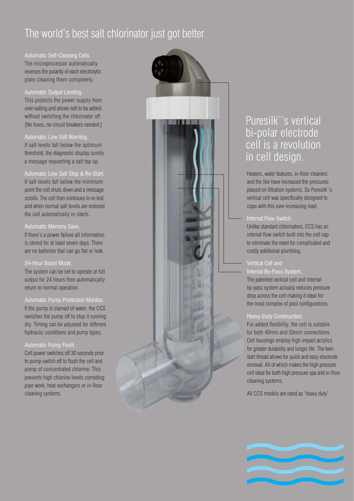# The world's best salt chlorinator just got better

### Automatic Self-Cleaning Cells.

The microprocessor automatically reverses the polarity of each electrolytic plate cleaning them completely.

### Automatic Output Limiting.

This protects the power supply from over-salting and allows salt to be added without switching the chlorinator off. [No fuses, no circuit breakers needed.]

### Automatic Low Salt Warning.

If salt levels fall below the optimum threshold, the diagnostic display scrolls a message requesting a salt top up.

### Automatic Low Salt Stop & Re-Start.

If salt levels fall below the minimum point the cell shuts down and a message scrolls. The cell then continues to re-test and when normal salt levels are restored the cell automatically re-starts.

### Automatic Memory Save.

If there's a power failure all information is stored for at least seven days. There are no batteries that can go flat or leak.

### 24-Hour Boost Mode.

The system can be set to operate at full output for 24 hours then automatically return to normal operation.

### Automatic Pump Protection Monitor.

If the pump is starved of water, the CCS switches the pump off to stop it running dry. Timing can be adjusted for different hydraulic conditions and pump types.

### Automatic Pump Flush.

Cell power switches off 30 seconds prior to pump switch off to flush the cell and pump of concentrated chlorine. This prevents high chlorine levels corroding pipe work, heat exchangers or in-floor cleaning systems.



# Puresilk™'s vertical bi-polar electrode cell is a revolution in cell design.

Heaters, water features, in-floor cleaners and the like have increased the pressures placed on filtration systems. So Puresilk™'s vertical cell was specifically designed to cope with this ever-increasing load.

### Internal Flow Switch.

Unlike standard chlorinators, CCS has an internal flow switch built into the cell cap to eliminate the need for complicated and costly additional plumbing.

### Vertical Cell and

### Internal By-Pass System.

The patented vertical cell and internal by-pass system actually reduces pressure drop across the cell making it ideal for the most complex of pool configurations.

### Heavy-Duty Construction.

For added flexibility, the cell is suitable for both 40mm and 50mm connections. Cell housings employ high impact acrylics for greater durability and longer life. The twin start thread allows for quick and easy electrode removal. All of which makes the high pressure cell ideal for both high pressure spa and in-floor cleaning systems.

All CCS models are rated as 'heavy duty'.

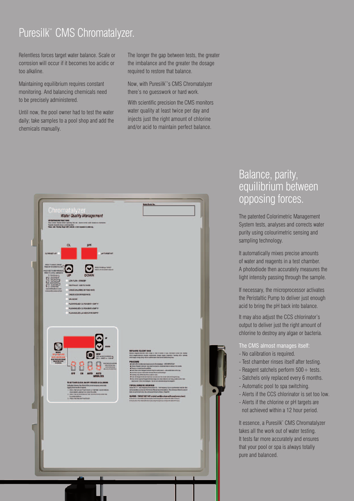# Puresilk<sup>™</sup> CMS Chromatalyzer.

Relentless forces target water balance. Scale or corrosion will occur if it becomes too acidic or too alkaline.

Maintaining equilibrium requires constant monitoring. And balancing chemicals need to be precisely administered.

Until now, the pool owner had to test the water daily; take samples to a pool shop and add the chemicals manually.

The longer the gap between tests, the greater the imbalance and the greater the dosage required to restore that balance.

Now, with Puresilk™'s CMS Chromatalyzer there's no guesswork or hard work.

With scientific precision the CMS monitors water quality at least twice per day and injects just the right amount of chlorine and/or acid to maintain perfect balance.



## Balance, parity, equilibrium between opposing forces.

The patented Colorimetric Management System tests, analyses and corrects water purity using colourimetric sensing and sampling technology.

It automatically mixes precise amounts of water and reagents in a test chamber. A photodiode then accurately measures the light intensity passing through the sample.

If necessary, the microprocessor activates the Peristaltic Pump to deliver just enough acid to bring the pH back into balance.

It may also adjust the CCS chlorinator's output to deliver just the right amount of chlorine to destroy any algae or bacteria.

The CMS almost manages itself:

- No calibration is required.
- Test chamber rinses itself after testing.
- $-$  Reagent satchels perform  $500+$  tests.
- Satchels only replaced every 6 months.
- Automatic pool to spa switching.
- Alerts if the CCS chlorinator is set too low.
- Alerts if the chlorine or pH targets are not achieved within a 12 hour period.

It essence, a Puresilk™ CMS Chromatalyzer takes all the work out of water testing. It tests far more accurately and ensures that your pool or spa is always totally pure and balanced.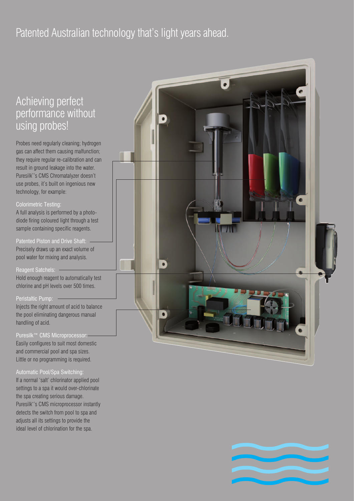# Patented Australian technology that's light years ahead.

# Achieving perfect performance without using probes!

Probes need regularly cleaning; hydrogen gas can affect them causing malfunction; they require regular re-calibration and can result in ground leakage into the water. Puresilk™'s CMS Chromatalyzer doesn't use probes, it's built on ingenious new technology, for example:

### Colorimetric Testing:

A full analysis is performed by a photodiode firing coloured light through a test sample containing specific reagents.

Patented Piston and Drive Shaft: Precisely draws up an exact volume of pool water for mixing and analysis.

### Reagent Satchels:

Hold enough reagent to automatically test chlorine and pH levels over 500 times.

### Peristaltic Pump:

Injects the right amount of acid to balance the pool eliminating dangerous manual handling of acid.

Puresilk™ CMS Microprocessor: Easily configures to suit most domestic and commercial pool and spa sizes. Little or no programming is required.

### Automatic Pool/Spa Switching:

If a normal 'salt' chlorinator applied pool settings to a spa it would over-chlorinate the spa creating serious damage. Puresilk<sup>™'</sup>s CMS microprocessor instantly detects the switch from pool to spa and adjusts all its settings to provide the ideal level of chlorination for the spa.



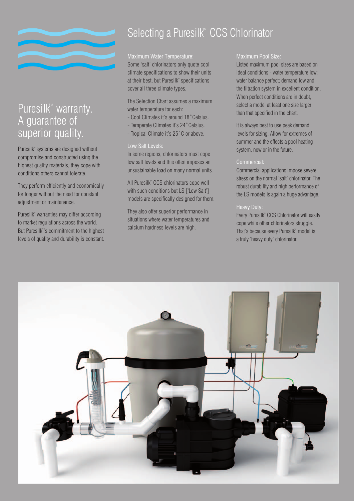

# Puresilk™ warranty. A guarantee of superior quality.

Puresilk™ systems are designed without compromise and constructed using the highest quality materials, they cope with conditions others cannot tolerate.

They perform efficiently and economically for longer without the need for constant adjustment or maintenance.

Puresilk™ warranties may differ according to market regulations across the world. But Puresilk™'s commitment to the highest levels of quality and durability is constant.

# Selecting a Puresilk<sup>™</sup> CCS Chlorinator

### Maximum Water Temperature:

Some 'salt' chlorinators only quote cool climate specifications to show their units at their best, but Puresilk™ specifications cover all three climate types.

The Selection Chart assumes a maximum water temperature for each:

- Cool Climates it's around 18˚Celsius.
- Temperate Climates it's 24˚Celsius.
- Tropical Climate it's 25˚C or above.

### Low Salt Levels:

In some regions, chlorinators must cope low salt levels and this often imposes an unsustainable load on many normal units.

All Puresilk™ CCS chlorinators cope well with such conditions but LS ['Low Salt'] models are specifically designed for them.

They also offer superior performance in situations where water temperatures and calcium hardness levels are high.

### Maximum Pool Size:

Listed maximum pool sizes are based on ideal conditions - water temperature low; water balance perfect; demand low and the filtration system in excellent condition. When perfect conditions are in doubt, select a model at least one size larger than that specified in the chart.

It is always best to use peak demand levels for sizing. Allow for extremes of summer and the effects a pool heating system, now or in the future.

### Commercial:

Commercial applications impose severe stress on the normal 'salt' chlorinator. The robust durability and high performance of the LS models is again a huge advantage.

### Heavy Duty:

Every Puresilk™ CCS Chlorinator will easily cope while other chlorinators struggle. That's because every Puresilk™ model is a truly 'heavy duty' chlorinator.

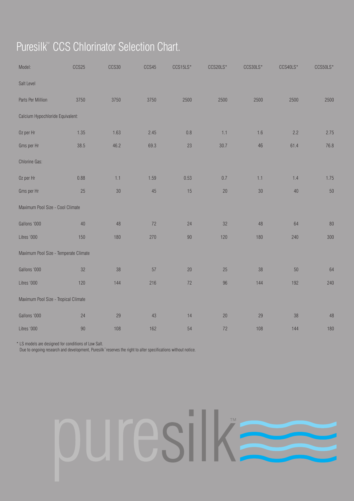# Puresilk<sup>™</sup> CCS Chlorinator Selection Chart.

| Model:                                | CCS25  | CCS30 | CCS45  | CCS15LS* | CCS20LS* | CCS30LS*        | CCS40LS* | CCS50LS* |
|---------------------------------------|--------|-------|--------|----------|----------|-----------------|----------|----------|
| Salt Level                            |        |       |        |          |          |                 |          |          |
| Parts Per Million                     | 3750   | 3750  | 3750   | 2500     | 2500     | 2500            | 2500     | 2500     |
| Calcium Hypochloride Equivalent:      |        |       |        |          |          |                 |          |          |
| Oz per Hr                             | 1.35   | 1.63  | 2.45   | $0.8\,$  | 1.1      | 1.6             | 2.2      | 2.75     |
| Gms per Hr                            | 38.5   | 46.2  | 69.3   | 23       | 30.7     | 46              | 61.4     | 76.8     |
| Chlorine Gas:                         |        |       |        |          |          |                 |          |          |
| Oz per Hr                             | 0.88   | 1.1   | 1.59   | 0.53     | $0.7\,$  | 1.1             | 1.4      | 1.75     |
| Gms per Hr                            | 25     | 30    | 45     | 15       | 20       | 30 <sup>°</sup> | 40       | $50\,$   |
| Maximum Pool Size - Cool Climate      |        |       |        |          |          |                 |          |          |
| Gallons '000                          | 40     | 48    | $72\,$ | 24       | 32       | 48              | 64       | $80\,$   |
| Litres '000                           | 150    | 180   | 270    | $90\,$   | 120      | 180             | 240      | 300      |
| Maximum Pool Size - Temperate Climate |        |       |        |          |          |                 |          |          |
| Gallons '000                          | 32     | 38    | 57     | $20\,$   | 25       | 38              | 50       | 64       |
| Litres '000                           | 120    | 144   | 216    | 72       | 96       | 144             | 192      | 240      |
| Maximum Pool Size - Tropical Climate  |        |       |        |          |          |                 |          |          |
| Gallons '000                          | 24     | 29    | 43     | 14       | $20\,$   | 29              | 38       | 48       |
| Litres '000                           | $90\,$ | 108   | 162    | 54       | $72\,$   | 108             | 144      | 180      |

\* LS models are designed for conditions of Low Salt.

Due to ongoing research and development, Puresilk™ reserves the right to alter specifications without notice.

# П **TM** esil